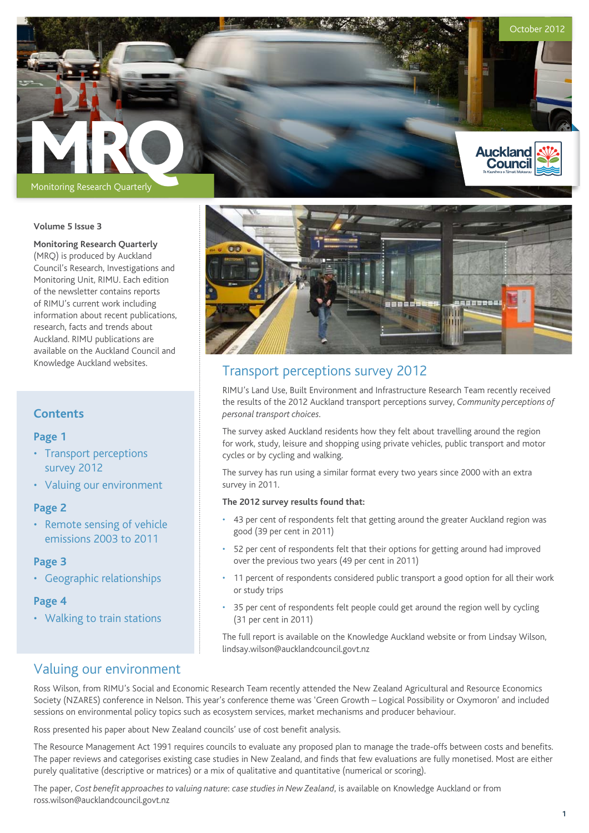

#### **Volume 5 Issue 3**

#### **Monitoring Research Quarterly**

(MRQ) is produced by Auckland Council's Research, Investigations and Monitoring Unit, RIMU. Each edition of the newsletter contains reports of RIMU's current work including information about recent publications, research, facts and trends about Auckland. RIMU publications are available on the Auckland Council and Knowledge Auckland websites.

## **Contents**

#### **Page 1**

- Transport perceptions survey 2012
- • Valuing our environment

## **Page 2**

• Remote sensing of vehicle emissions 2003 to 2011

#### **Page 3**

• Geographic relationships

## **Page 4**

• Walking to train stations



# Transport perceptions survey 2012

RIMU's Land Use, Built Environment and Infrastructure Research Team recently received the results of the 2012 Auckland transport perceptions survey, *Community perceptions of personal transport choices.* 

The survey asked Auckland residents how they felt about travelling around the region for work, study, leisure and shopping using private vehicles, public transport and motor cycles or by cycling and walking.

The survey has run using a similar format every two years since 2000 with an extra survey in 2011.

### **The 2012 survey results found that:**

- 43 per cent of respondents felt that getting around the greater Auckland region was good (39 per cent in 2011)
- • 52 per cent of respondents felt that their options for getting around had improved over the previous two years (49 per cent in 2011)
- 11 percent of respondents considered public transport a good option for all their work or study trips
- 35 per cent of respondents felt people could get around the region well by cycling (31 per cent in 2011)

The full report is available on the Knowledge Auckland website or from Lindsay Wilson, lindsay.wilson@aucklandcouncil.govt.nz

# Valuing our environment

Ross Wilson, from RIMU's Social and Economic Research Team recently attended the New Zealand Agricultural and Resource Economics Society (NZARES) conference in Nelson. This year's conference theme was 'Green Growth – Logical Possibility or Oxymoron' and included sessions on environmental policy topics such as ecosystem services, market mechanisms and producer behaviour.

Ross presented his paper about New Zealand councils' use of cost benefit analysis.

The Resource Management Act 1991 requires councils to evaluate any proposed plan to manage the trade-offs between costs and benefits. The paper reviews and categorises existing case studies in New Zealand, and finds that few evaluations are fully monetised. Most are either purely qualitative (descriptive or matrices) or a mix of qualitative and quantitative (numerical or scoring).

The paper, *Cost benefit approaches to valuing nature*: *case studies in New Zealand*, is available on Knowledge Auckland or from ross.wilson@aucklandcouncil.govt.nz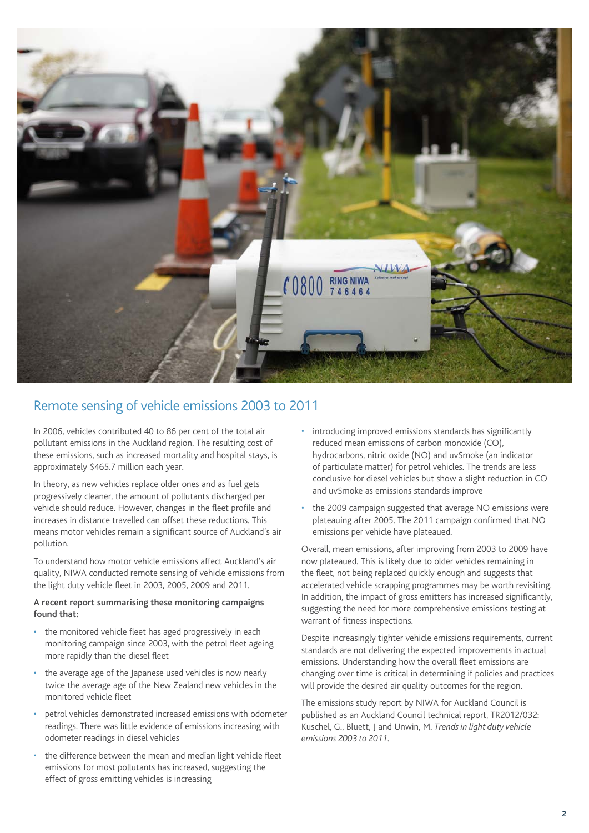

# Remote sensing of vehicle emissions 2003 to 2011

In 2006, vehicles contributed 40 to 86 per cent of the total air pollutant emissions in the Auckland region. The resulting cost of these emissions, such as increased mortality and hospital stays, is approximately \$465.7 million each year.

In theory, as new vehicles replace older ones and as fuel gets progressively cleaner, the amount of pollutants discharged per vehicle should reduce. However, changes in the fleet profile and increases in distance travelled can offset these reductions. This means motor vehicles remain a significant source of Auckland's air pollution.

To understand how motor vehicle emissions affect Auckland's air quality, NIWA conducted remote sensing of vehicle emissions from the light duty vehicle fleet in 2003, 2005, 2009 and 2011.

#### **A recent report summarising these monitoring campaigns found that:**

- the monitored vehicle fleet has aged progressively in each monitoring campaign since 2003, with the petrol fleet ageing more rapidly than the diesel fleet
- the average age of the Japanese used vehicles is now nearly twice the average age of the New Zealand new vehicles in the monitored vehicle fleet
- petrol vehicles demonstrated increased emissions with odometer readings. There was little evidence of emissions increasing with odometer readings in diesel vehicles
- the difference between the mean and median light vehicle fleet emissions for most pollutants has increased, suggesting the effect of gross emitting vehicles is increasing
- introducing improved emissions standards has significantly reduced mean emissions of carbon monoxide (CO), hydrocarbons, nitric oxide (NO) and uvSmoke (an indicator of particulate matter) for petrol vehicles. The trends are less conclusive for diesel vehicles but show a slight reduction in CO and uvSmoke as emissions standards improve
- the 2009 campaign suggested that average NO emissions were plateauing after 2005. The 2011 campaign confirmed that NO emissions per vehicle have plateaued.

Overall, mean emissions, after improving from 2003 to 2009 have now plateaued. This is likely due to older vehicles remaining in the fleet, not being replaced quickly enough and suggests that accelerated vehicle scrapping programmes may be worth revisiting. In addition, the impact of gross emitters has increased significantly, suggesting the need for more comprehensive emissions testing at warrant of fitness inspections.

Despite increasingly tighter vehicle emissions requirements, current standards are not delivering the expected improvements in actual emissions. Understanding how the overall fleet emissions are changing over time is critical in determining if policies and practices will provide the desired air quality outcomes for the region.

The emissions study report by NIWA for Auckland Council is published as an Auckland Council technical report, TR2012/032: Kuschel, G., Bluett, J and Unwin, M. *Trends in light duty vehicle emissions 2003 to 2011.*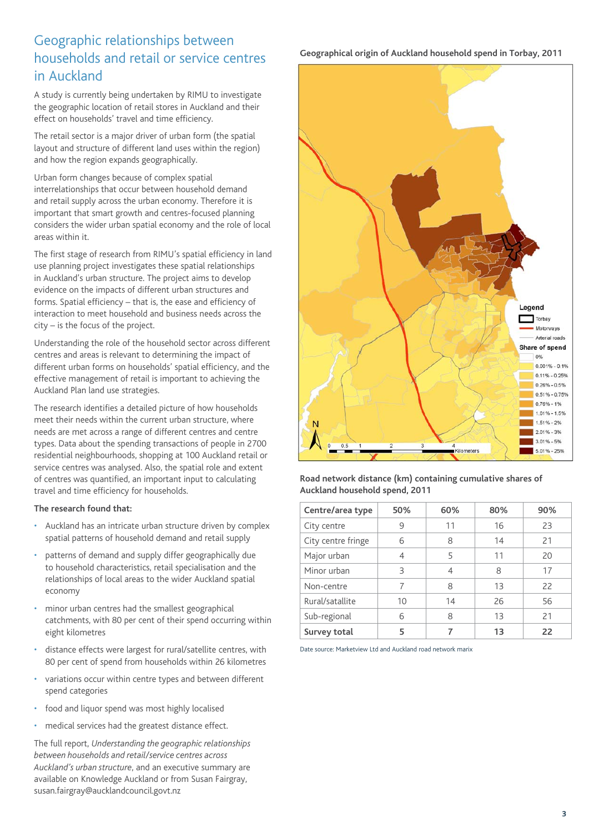# Geographic relationships between households and retail or service centres in Auckland

A study is currently being undertaken by RIMU to investigate the geographic location of retail stores in Auckland and their effect on households' travel and time efficiency.

The retail sector is a major driver of urban form (the spatial layout and structure of different land uses within the region) and how the region expands geographically.

Urban form changes because of complex spatial interrelationships that occur between household demand and retail supply across the urban economy. Therefore it is important that smart growth and centres-focused planning considers the wider urban spatial economy and the role of local areas within it.

The first stage of research from RIMU's spatial efficiency in land use planning project investigates these spatial relationships in Auckland's urban structure. The project aims to develop evidence on the impacts of different urban structures and forms. Spatial efficiency – that is, the ease and efficiency of interaction to meet household and business needs across the city – is the focus of the project.

Understanding the role of the household sector across different centres and areas is relevant to determining the impact of different urban forms on households' spatial efficiency, and the effective management of retail is important to achieving the Auckland Plan land use strategies.

The research identifies a detailed picture of how households meet their needs within the current urban structure, where needs are met across a range of different centres and centre types. Data about the spending transactions of people in 2700 residential neighbourhoods, shopping at 100 Auckland retail or service centres was analysed. Also, the spatial role and extent of centres was quantified, an important input to calculating travel and time efficiency for households.

#### **The research found that:**

- Auckland has an intricate urban structure driven by complex spatial patterns of household demand and retail supply
- patterns of demand and supply differ geographically due to household characteristics, retail specialisation and the relationships of local areas to the wider Auckland spatial economy
- minor urban centres had the smallest geographical catchments, with 80 per cent of their spend occurring within eight kilometres
- distance effects were largest for rural/satellite centres, with 80 per cent of spend from households within 26 kilometres
- variations occur within centre types and between different spend categories
- food and liquor spend was most highly localised
- • medical services had the greatest distance effect.

The full report, *Understanding the geographic relationships between households and retail/service centres across Auckland's urban structure*, and an executive summary are available on Knowledge Auckland or from Susan Fairgray, susan.fairgray@aucklandcouncil.govt.nz

# **Geographical origin of Auckland household spend in Torbay, 2011**



**Road network distance (km) containing cumulative shares of Auckland household spend, 2011**

| Centre/area type   | 50% | 60% | 80% | 90% |
|--------------------|-----|-----|-----|-----|
| City centre        | 9   | 11  | 16  | 23  |
| City centre fringe | 6   | 8   | 14  | 21  |
| Major urban        | 4   | 5   | 11  | 20  |
| Minor urban        | 3   | 4   | 8   | 17  |
| Non-centre         | 7   | 8   | 13  | 22  |
| Rural/satallite    | 10  | 14  | 26  | 56  |
| Sub-regional       | 6   | 8   | 13  | 21  |
| Survey total       | 5   |     | 13  | 22  |

Date source: Marketview Ltd and Auckland road network marix